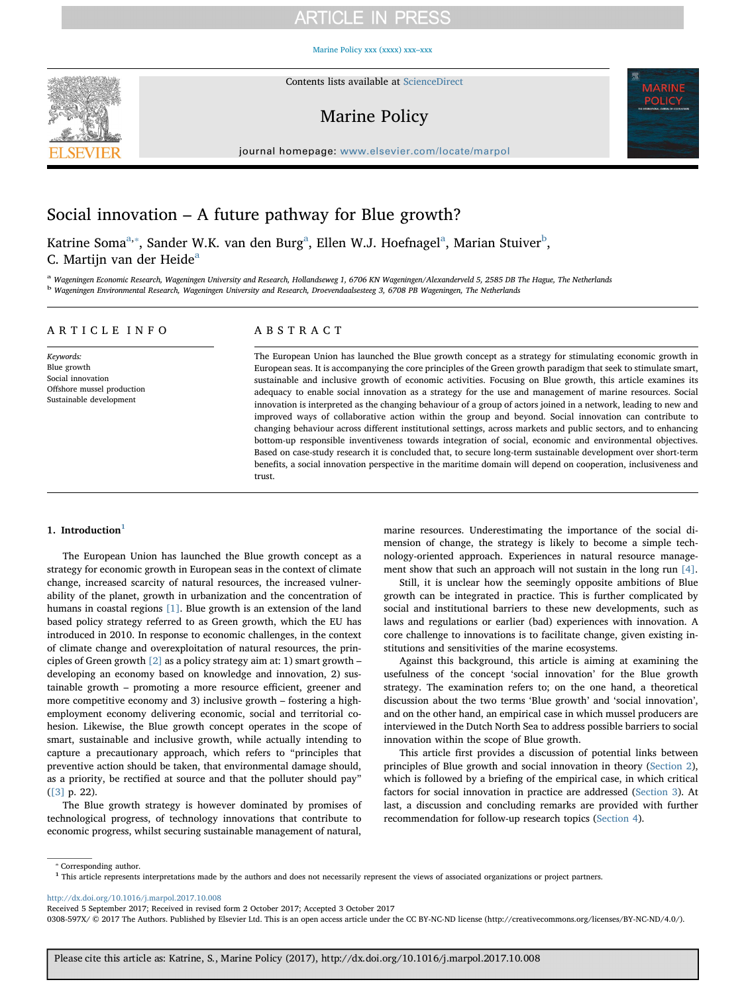# **ARTICLE IN PRESS**

[Marine Policy xxx \(xxxx\) xxx–xxx](http://dx.doi.org/10.1016/j.marpol.2017.10.008)



Contents lists available at [ScienceDirect](http://www.sciencedirect.com/science/journal/0308597X)

## Marine Policy



journal homepage: [www.elsevier.com/locate/marpol](https://www.elsevier.com/locate/marpol)

## Social innovation – A future pathway for Blue growth?

K[a](#page-0-0)trine Soma $^\text{a, *},$  $^\text{a, *},$  $^\text{a, *},$  Sander W.K. van den Burg $^\text{a}$ , Ellen W.J. Hoefnagel $^\text{a}$ , Marian Stuiver $^\text{b}$  $^\text{b}$  $^\text{b}$ , C. M[a](#page-0-0)rtijn van der Heide<sup>a</sup>

<span id="page-0-2"></span><span id="page-0-0"></span><sup>a</sup> Wageningen Economic Research, Wageningen University and Research, Hollandseweg 1, 6706 KN Wageningen/Alexanderveld 5, 2585 DB The Hague, The Netherlands <sup>b</sup> Wageningen Environmental Research, Wageningen University and Research, Droevendaalsesteeg 3, 6708 PB Wageningen, The Netherlands

### ARTICLE INFO

Keywords: Blue growth Social innovation Offshore mussel production Sustainable development

## ABSTRACT

The European Union has launched the Blue growth concept as a strategy for stimulating economic growth in European seas. It is accompanying the core principles of the Green growth paradigm that seek to stimulate smart, sustainable and inclusive growth of economic activities. Focusing on Blue growth, this article examines its adequacy to enable social innovation as a strategy for the use and management of marine resources. Social innovation is interpreted as the changing behaviour of a group of actors joined in a network, leading to new and improved ways of collaborative action within the group and beyond. Social innovation can contribute to changing behaviour across different institutional settings, across markets and public sectors, and to enhancing bottom-up responsible inventiveness towards integration of social, economic and environmental objectives. Based on case-study research it is concluded that, to secure long-term sustainable development over short-term benefits, a social innovation perspective in the maritime domain will depend on cooperation, inclusiveness and trust.

### [1](#page-0-3). Introduction<sup>1</sup>

The European Union has launched the Blue growth concept as a strategy for economic growth in European seas in the context of climate change, increased scarcity of natural resources, the increased vulnerability of the planet, growth in urbanization and the concentration of humans in coastal regions [\[1\].](#page-6-0) Blue growth is an extension of the land based policy strategy referred to as Green growth, which the EU has introduced in 2010. In response to economic challenges, in the context of climate change and overexploitation of natural resources, the principles of Green growth [\[2\]](#page-6-1) as a policy strategy aim at: 1) smart growth – developing an economy based on knowledge and innovation, 2) sustainable growth – promoting a more resource efficient, greener and more competitive economy and 3) inclusive growth – fostering a highemployment economy delivering economic, social and territorial cohesion. Likewise, the Blue growth concept operates in the scope of smart, sustainable and inclusive growth, while actually intending to capture a precautionary approach, which refers to "principles that preventive action should be taken, that environmental damage should, as a priority, be rectified at source and that the polluter should pay" ([\[3\]](#page-6-2) p. 22).

The Blue growth strategy is however dominated by promises of technological progress, of technology innovations that contribute to economic progress, whilst securing sustainable management of natural,

marine resources. Underestimating the importance of the social dimension of change, the strategy is likely to become a simple technology-oriented approach. Experiences in natural resource management show that such an approach will not sustain in the long run [\[4\]](#page-6-3).

Still, it is unclear how the seemingly opposite ambitions of Blue growth can be integrated in practice. This is further complicated by social and institutional barriers to these new developments, such as laws and regulations or earlier (bad) experiences with innovation. A core challenge to innovations is to facilitate change, given existing institutions and sensitivities of the marine ecosystems.

Against this background, this article is aiming at examining the usefulness of the concept 'social innovation' for the Blue growth strategy. The examination refers to; on the one hand, a theoretical discussion about the two terms 'Blue growth' and 'social innovation', and on the other hand, an empirical case in which mussel producers are interviewed in the Dutch North Sea to address possible barriers to social innovation within the scope of Blue growth.

This article first provides a discussion of potential links between principles of Blue growth and social innovation in theory [\(Section 2](#page-1-0)), which is followed by a briefing of the empirical case, in which critical factors for social innovation in practice are addressed ([Section 3](#page-2-0)). At last, a discussion and concluding remarks are provided with further recommendation for follow-up research topics ([Section 4\)](#page-5-0).

<http://dx.doi.org/10.1016/j.marpol.2017.10.008>

Received 5 September 2017; Received in revised form 2 October 2017; Accepted 3 October 2017

0308-597X/ © 2017 The Authors. Published by Elsevier Ltd. This is an open access article under the CC BY-NC-ND license (http://creativecommons.org/licenses/BY-NC-ND/4.0/).

<span id="page-0-1"></span><sup>⁎</sup> Corresponding author.

<span id="page-0-3"></span><sup>1</sup> This article represents interpretations made by the authors and does not necessarily represent the views of associated organizations or project partners.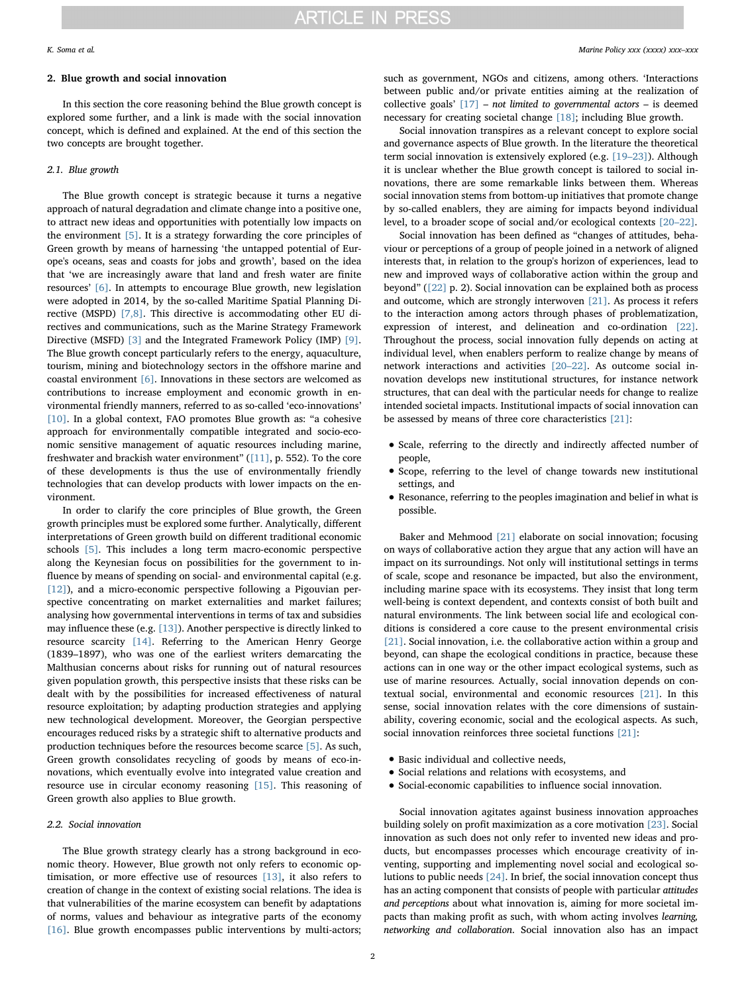#### <span id="page-1-0"></span>2. Blue growth and social innovation

In this section the core reasoning behind the Blue growth concept is explored some further, and a link is made with the social innovation concept, which is defined and explained. At the end of this section the two concepts are brought together.

### 2.1. Blue growth

The Blue growth concept is strategic because it turns a negative approach of natural degradation and climate change into a positive one, to attract new ideas and opportunities with potentially low impacts on the environment [\[5\].](#page-6-4) It is a strategy forwarding the core principles of Green growth by means of harnessing 'the untapped potential of Europe's oceans, seas and coasts for jobs and growth', based on the idea that 'we are increasingly aware that land and fresh water are finite resources' [\[6\].](#page-6-5) In attempts to encourage Blue growth, new legislation were adopted in 2014, by the so-called Maritime Spatial Planning Directive (MSPD) [\[7,8\]](#page-6-6). This directive is accommodating other EU directives and communications, such as the Marine Strategy Framework Directive (MSFD) [\[3\]](#page-6-2) and the Integrated Framework Policy (IMP) [\[9\]](#page-6-7). The Blue growth concept particularly refers to the energy, aquaculture, tourism, mining and biotechnology sectors in the offshore marine and coastal environment [\[6\]](#page-6-5). Innovations in these sectors are welcomed as contributions to increase employment and economic growth in environmental friendly manners, referred to as so-called 'eco-innovations' [\[10\]](#page-6-8). In a global context, FAO promotes Blue growth as: "a cohesive approach for environmentally compatible integrated and socio-economic sensitive management of aquatic resources including marine, freshwater and brackish water environment" ([\[11\]](#page-6-9), p. 552). To the core of these developments is thus the use of environmentally friendly technologies that can develop products with lower impacts on the environment.

In order to clarify the core principles of Blue growth, the Green growth principles must be explored some further. Analytically, different interpretations of Green growth build on different traditional economic schools [\[5\].](#page-6-4) This includes a long term macro-economic perspective along the Keynesian focus on possibilities for the government to influence by means of spending on social- and environmental capital (e.g. [\[12\]](#page-6-10)), and a micro-economic perspective following a Pigouvian perspective concentrating on market externalities and market failures; analysing how governmental interventions in terms of tax and subsidies may influence these (e.g. [\[13\]](#page-6-11)). Another perspective is directly linked to resource scarcity [\[14\]](#page-6-12). Referring to the American Henry George (1839–1897), who was one of the earliest writers demarcating the Malthusian concerns about risks for running out of natural resources given population growth, this perspective insists that these risks can be dealt with by the possibilities for increased effectiveness of natural resource exploitation; by adapting production strategies and applying new technological development. Moreover, the Georgian perspective encourages reduced risks by a strategic shift to alternative products and production techniques before the resources become scarce [\[5\]](#page-6-4). As such, Green growth consolidates recycling of goods by means of eco-innovations, which eventually evolve into integrated value creation and resource use in circular economy reasoning [\[15\]](#page-6-13). This reasoning of Green growth also applies to Blue growth.

### 2.2. Social innovation

The Blue growth strategy clearly has a strong background in economic theory. However, Blue growth not only refers to economic optimisation, or more effective use of resources [\[13\]](#page-6-11), it also refers to creation of change in the context of existing social relations. The idea is that vulnerabilities of the marine ecosystem can benefit by adaptations of norms, values and behaviour as integrative parts of the economy [\[16\]](#page-6-14). Blue growth encompasses public interventions by multi-actors;

such as government, NGOs and citizens, among others. 'Interactions between public and/or private entities aiming at the realization of collective goals'  $[17]$  – not limited to governmental actors – is deemed necessary for creating societal change [\[18\];](#page-6-16) including Blue growth.

Social innovation transpires as a relevant concept to explore social and governance aspects of Blue growth. In the literature the theoretical term social innovation is extensively explored (e.g. [\[19](#page-6-17)–23]). Although it is unclear whether the Blue growth concept is tailored to social innovations, there are some remarkable links between them. Whereas social innovation stems from bottom-up initiatives that promote change by so-called enablers, they are aiming for impacts beyond individual level, to a broader scope of social and/or ecological contexts [20–[22\].](#page-6-18)

Social innovation has been defined as "changes of attitudes, behaviour or perceptions of a group of people joined in a network of aligned interests that, in relation to the group's horizon of experiences, lead to new and improved ways of collaborative action within the group and beyond" [\(\[22\]](#page-6-19) p. 2). Social innovation can be explained both as process and outcome, which are strongly interwoven [\[21\]](#page-6-20). As process it refers to the interaction among actors through phases of problematization, expression of interest, and delineation and co-ordination [\[22\]](#page-6-19). Throughout the process, social innovation fully depends on acting at individual level, when enablers perform to realize change by means of network interactions and activities [20–[22\].](#page-6-18) As outcome social innovation develops new institutional structures, for instance network structures, that can deal with the particular needs for change to realize intended societal impacts. Institutional impacts of social innovation can be assessed by means of three core characteristics [\[21\]:](#page-6-20)

- Scale, referring to the directly and indirectly affected number of people,
- Scope, referring to the level of change towards new institutional settings, and
- Resonance, referring to the peoples imagination and belief in what is possible.

Baker and Mehmood [\[21\]](#page-6-20) elaborate on social innovation; focusing on ways of collaborative action they argue that any action will have an impact on its surroundings. Not only will institutional settings in terms of scale, scope and resonance be impacted, but also the environment, including marine space with its ecosystems. They insist that long term well-being is context dependent, and contexts consist of both built and natural environments. The link between social life and ecological conditions is considered a core cause to the present environmental crisis [\[21\]](#page-6-20). Social innovation, i.e. the collaborative action within a group and beyond, can shape the ecological conditions in practice, because these actions can in one way or the other impact ecological systems, such as use of marine resources. Actually, social innovation depends on contextual social, environmental and economic resources [\[21\].](#page-6-20) In this sense, social innovation relates with the core dimensions of sustainability, covering economic, social and the ecological aspects. As such, social innovation reinforces three societal functions [\[21\]:](#page-6-20)

- Basic individual and collective needs,
- Social relations and relations with ecosystems, and
- Social-economic capabilities to influence social innovation.

Social innovation agitates against business innovation approaches building solely on profit maximization as a core motivation [\[23\]](#page-6-21). Social innovation as such does not only refer to invented new ideas and products, but encompasses processes which encourage creativity of inventing, supporting and implementing novel social and ecological solutions to public needs [\[24\].](#page-6-22) In brief, the social innovation concept thus has an acting component that consists of people with particular attitudes and perceptions about what innovation is, aiming for more societal impacts than making profit as such, with whom acting involves learning, networking and collaboration. Social innovation also has an impact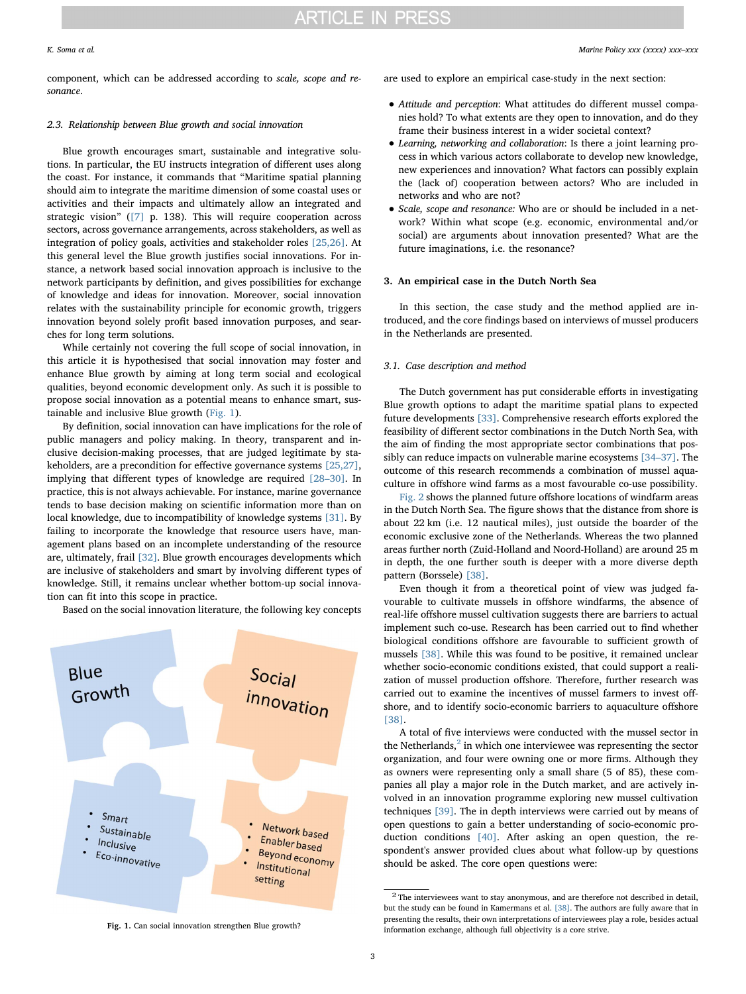## **ARTICLE IN PRESS**

component, which can be addressed according to scale, scope and resonance.

#### 2.3. Relationship between Blue growth and social innovation

Blue growth encourages smart, sustainable and integrative solutions. In particular, the EU instructs integration of different uses along the coast. For instance, it commands that "Maritime spatial planning should aim to integrate the maritime dimension of some coastal uses or activities and their impacts and ultimately allow an integrated and strategic vision" [\(\[7\]](#page-6-6) p. 138). This will require cooperation across sectors, across governance arrangements, across stakeholders, as well as integration of policy goals, activities and stakeholder roles [\[25,26\].](#page-6-23) At this general level the Blue growth justifies social innovations. For instance, a network based social innovation approach is inclusive to the network participants by definition, and gives possibilities for exchange of knowledge and ideas for innovation. Moreover, social innovation relates with the sustainability principle for economic growth, triggers innovation beyond solely profit based innovation purposes, and searches for long term solutions.

While certainly not covering the full scope of social innovation, in this article it is hypothesised that social innovation may foster and enhance Blue growth by aiming at long term social and ecological qualities, beyond economic development only. As such it is possible to propose social innovation as a potential means to enhance smart, sustainable and inclusive Blue growth [\(Fig. 1\)](#page-2-1).

By definition, social innovation can have implications for the role of public managers and policy making. In theory, transparent and inclusive decision-making processes, that are judged legitimate by stakeholders, are a precondition for effective governance systems [\[25,27\]](#page-6-23), implying that different types of knowledge are required [28–[30\].](#page-7-0) In practice, this is not always achievable. For instance, marine governance tends to base decision making on scientific information more than on local knowledge, due to incompatibility of knowledge systems [\[31\]](#page-7-1). By failing to incorporate the knowledge that resource users have, management plans based on an incomplete understanding of the resource are, ultimately, frail [\[32\].](#page-7-2) Blue growth encourages developments which are inclusive of stakeholders and smart by involving different types of knowledge. Still, it remains unclear whether bottom-up social innovation can fit into this scope in practice.

Based on the social innovation literature, the following key concepts

<span id="page-2-1"></span>

Fig. 1. Can social innovation strengthen Blue growth?

are used to explore an empirical case-study in the next section:

- Attitude and perception: What attitudes do different mussel companies hold? To what extents are they open to innovation, and do they frame their business interest in a wider societal context?
- Learning, networking and collaboration: Is there a joint learning process in which various actors collaborate to develop new knowledge, new experiences and innovation? What factors can possibly explain the (lack of) cooperation between actors? Who are included in networks and who are not?
- Scale, scope and resonance: Who are or should be included in a network? Within what scope (e.g. economic, environmental and/or social) are arguments about innovation presented? What are the future imaginations, i.e. the resonance?

### <span id="page-2-0"></span>3. An empirical case in the Dutch North Sea

In this section, the case study and the method applied are introduced, and the core findings based on interviews of mussel producers in the Netherlands are presented.

### 3.1. Case description and method

The Dutch government has put considerable efforts in investigating Blue growth options to adapt the maritime spatial plans to expected future developments [\[33\].](#page-7-3) Comprehensive research efforts explored the feasibility of different sector combinations in the Dutch North Sea, with the aim of finding the most appropriate sector combinations that possibly can reduce impacts on vulnerable marine ecosystems [34–[37\]](#page-7-4). The outcome of this research recommends a combination of mussel aquaculture in offshore wind farms as a most favourable co-use possibility.

[Fig. 2](#page-3-0) shows the planned future offshore locations of windfarm areas in the Dutch North Sea. The figure shows that the distance from shore is about 22 km (i.e. 12 nautical miles), just outside the boarder of the economic exclusive zone of the Netherlands. Whereas the two planned areas further north (Zuid-Holland and Noord-Holland) are around 25 m in depth, the one further south is deeper with a more diverse depth pattern (Borssele) [\[38\].](#page-7-5)

Even though it from a theoretical point of view was judged favourable to cultivate mussels in offshore windfarms, the absence of real-life offshore mussel cultivation suggests there are barriers to actual implement such co-use. Research has been carried out to find whether biological conditions offshore are favourable to sufficient growth of mussels [\[38\]](#page-7-5). While this was found to be positive, it remained unclear whether socio-economic conditions existed, that could support a realization of mussel production offshore. Therefore, further research was carried out to examine the incentives of mussel farmers to invest offshore, and to identify socio-economic barriers to aquaculture offshore [\[38\]](#page-7-5).

A total of five interviews were conducted with the mussel sector in the Netherlands, $2$  in which one interviewee was representing the sector organization, and four were owning one or more firms. Although they as owners were representing only a small share (5 of 85), these companies all play a major role in the Dutch market, and are actively involved in an innovation programme exploring new mussel cultivation techniques [\[39\].](#page-7-6) The in depth interviews were carried out by means of open questions to gain a better understanding of socio-economic production conditions [\[40\].](#page-7-7) After asking an open question, the respondent's answer provided clues about what follow-up by questions should be asked. The core open questions were:

<span id="page-2-2"></span><sup>&</sup>lt;sup>2</sup> The interviewees want to stay anonymous, and are therefore not described in detail, but the study can be found in Kamermans et al. [\[38\]](#page-7-5). The authors are fully aware that in presenting the results, their own interpretations of interviewees play a role, besides actual information exchange, although full objectivity is a core strive.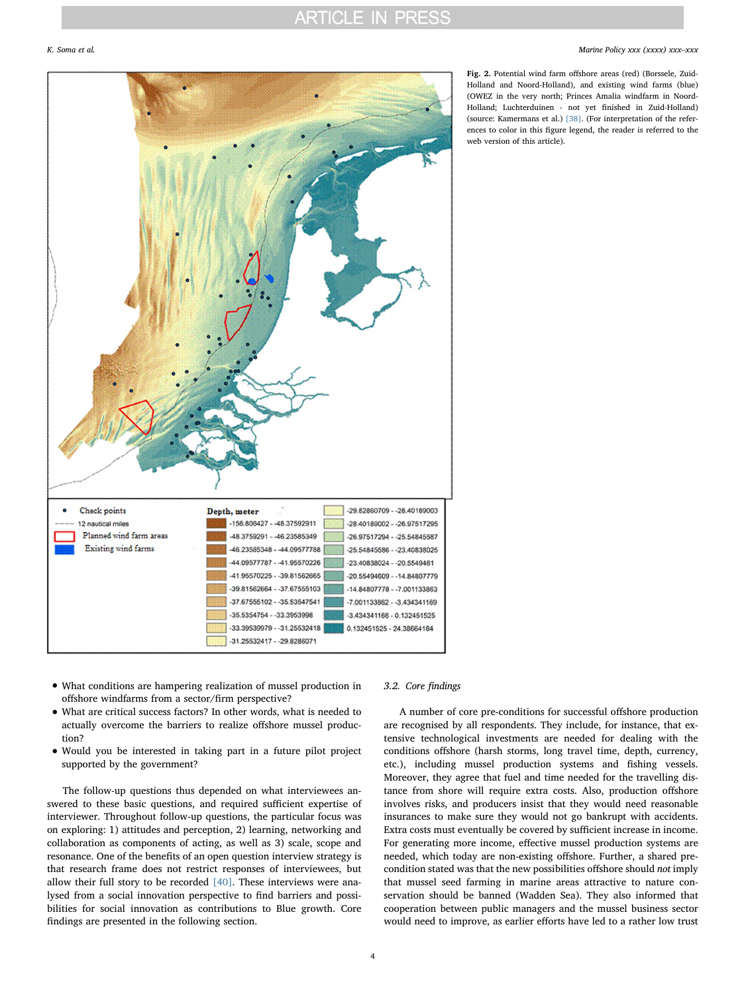#### K. Soma et al. *Marine Policy xxx (xxxx) xxx–xxx*

<span id="page-3-0"></span>

- What conditions are hampering realization of mussel production in offshore windfarms from a sector/firm perspective?
- What are critical success factors? In other words, what is needed to actually overcome the barriers to realize offshore mussel production?
- Would you be interested in taking part in a future pilot project supported by the government?

The follow-up questions thus depended on what interviewees answered to these basic questions, and required sufficient expertise of interviewer. Throughout follow-up questions, the particular focus was on exploring: 1) attitudes and perception, 2) learning, networking and collaboration as components of acting, as well as 3) scale, scope and resonance. One of the benefits of an open question interview strategy is that research frame does not restrict responses of interviewees, but allow their full story to be recorded [\[40\].](#page-7-7) These interviews were analysed from a social innovation perspective to find barriers and possibilities for social innovation as contributions to Blue growth. Core findings are presented in the following section.

Fig. 2. Potential wind farm offshore areas (red) (Borssele, Zuid-Holland and Noord-Holland), and existing wind farms (blue) (OWEZ in the very north; Princes Amalia windfarm in Noord-Holland; Luchterduinen - not yet finished in Zuid-Holland) (source: Kamermans et al.) [\[38\]](#page-7-5). (For interpretation of the references to color in this figure legend, the reader is referred to the web version of this article).

### 3.2. Core findings

A number of core pre-conditions for successful offshore production are recognised by all respondents. They include, for instance, that extensive technological investments are needed for dealing with the conditions offshore (harsh storms, long travel time, depth, currency, etc.), including mussel production systems and fishing vessels. Moreover, they agree that fuel and time needed for the travelling distance from shore will require extra costs. Also, production offshore involves risks, and producers insist that they would need reasonable insurances to make sure they would not go bankrupt with accidents. Extra costs must eventually be covered by sufficient increase in income. For generating more income, effective mussel production systems are needed, which today are non-existing offshore. Further, a shared precondition stated was that the new possibilities offshore should not imply that mussel seed farming in marine areas attractive to nature conservation should be banned (Wadden Sea). They also informed that cooperation between public managers and the mussel business sector would need to improve, as earlier efforts have led to a rather low trust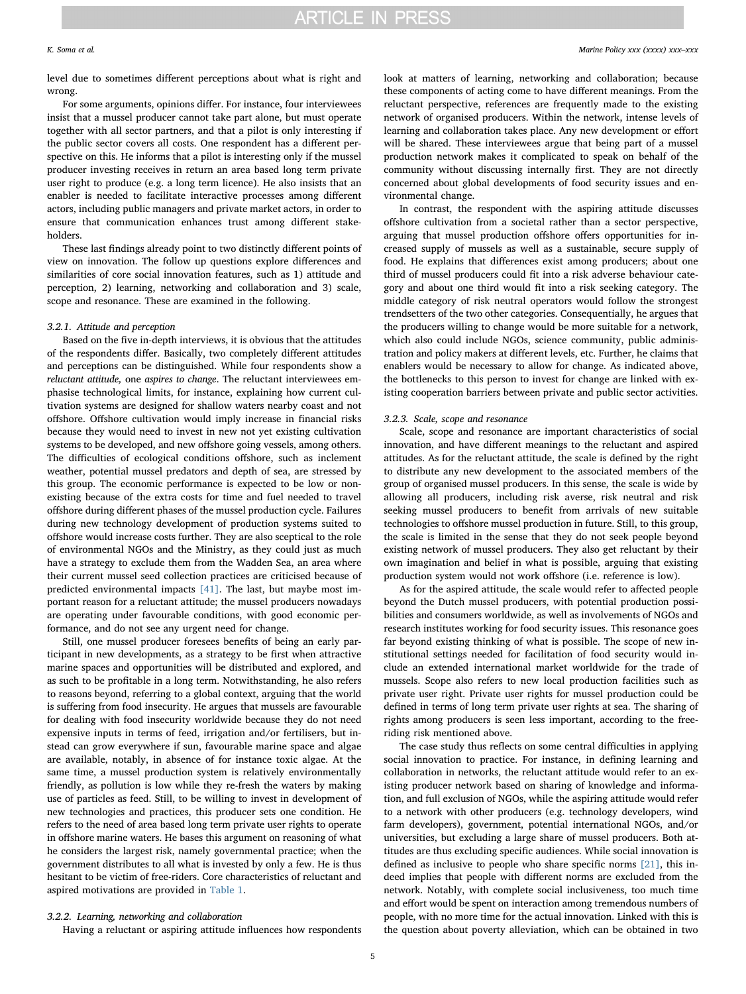level due to sometimes different perceptions about what is right and wrong.

For some arguments, opinions differ. For instance, four interviewees insist that a mussel producer cannot take part alone, but must operate together with all sector partners, and that a pilot is only interesting if the public sector covers all costs. One respondent has a different perspective on this. He informs that a pilot is interesting only if the mussel producer investing receives in return an area based long term private user right to produce (e.g. a long term licence). He also insists that an enabler is needed to facilitate interactive processes among different actors, including public managers and private market actors, in order to ensure that communication enhances trust among different stakeholders.

These last findings already point to two distinctly different points of view on innovation. The follow up questions explore differences and similarities of core social innovation features, such as 1) attitude and perception, 2) learning, networking and collaboration and 3) scale, scope and resonance. These are examined in the following.

#### 3.2.1. Attitude and perception

Based on the five in-depth interviews, it is obvious that the attitudes of the respondents differ. Basically, two completely different attitudes and perceptions can be distinguished. While four respondents show a reluctant attitude, one aspires to change. The reluctant interviewees emphasise technological limits, for instance, explaining how current cultivation systems are designed for shallow waters nearby coast and not offshore. Offshore cultivation would imply increase in financial risks because they would need to invest in new not yet existing cultivation systems to be developed, and new offshore going vessels, among others. The difficulties of ecological conditions offshore, such as inclement weather, potential mussel predators and depth of sea, are stressed by this group. The economic performance is expected to be low or nonexisting because of the extra costs for time and fuel needed to travel offshore during different phases of the mussel production cycle. Failures during new technology development of production systems suited to offshore would increase costs further. They are also sceptical to the role of environmental NGOs and the Ministry, as they could just as much have a strategy to exclude them from the Wadden Sea, an area where their current mussel seed collection practices are criticised because of predicted environmental impacts [\[41\]](#page-7-8). The last, but maybe most important reason for a reluctant attitude; the mussel producers nowadays are operating under favourable conditions, with good economic performance, and do not see any urgent need for change.

Still, one mussel producer foresees benefits of being an early participant in new developments, as a strategy to be first when attractive marine spaces and opportunities will be distributed and explored, and as such to be profitable in a long term. Notwithstanding, he also refers to reasons beyond, referring to a global context, arguing that the world is suffering from food insecurity. He argues that mussels are favourable for dealing with food insecurity worldwide because they do not need expensive inputs in terms of feed, irrigation and/or fertilisers, but instead can grow everywhere if sun, favourable marine space and algae are available, notably, in absence of for instance toxic algae. At the same time, a mussel production system is relatively environmentally friendly, as pollution is low while they re-fresh the waters by making use of particles as feed. Still, to be willing to invest in development of new technologies and practices, this producer sets one condition. He refers to the need of area based long term private user rights to operate in offshore marine waters. He bases this argument on reasoning of what he considers the largest risk, namely governmental practice; when the government distributes to all what is invested by only a few. He is thus hesitant to be victim of free-riders. Core characteristics of reluctant and aspired motivations are provided in [Table 1](#page-5-1).

look at matters of learning, networking and collaboration; because these components of acting come to have different meanings. From the reluctant perspective, references are frequently made to the existing network of organised producers. Within the network, intense levels of learning and collaboration takes place. Any new development or effort will be shared. These interviewees argue that being part of a mussel production network makes it complicated to speak on behalf of the community without discussing internally first. They are not directly concerned about global developments of food security issues and environmental change.

In contrast, the respondent with the aspiring attitude discusses offshore cultivation from a societal rather than a sector perspective, arguing that mussel production offshore offers opportunities for increased supply of mussels as well as a sustainable, secure supply of food. He explains that differences exist among producers; about one third of mussel producers could fit into a risk adverse behaviour category and about one third would fit into a risk seeking category. The middle category of risk neutral operators would follow the strongest trendsetters of the two other categories. Consequentially, he argues that the producers willing to change would be more suitable for a network, which also could include NGOs, science community, public administration and policy makers at different levels, etc. Further, he claims that enablers would be necessary to allow for change. As indicated above, the bottlenecks to this person to invest for change are linked with existing cooperation barriers between private and public sector activities.

#### 3.2.3. Scale, scope and resonance

Scale, scope and resonance are important characteristics of social innovation, and have different meanings to the reluctant and aspired attitudes. As for the reluctant attitude, the scale is defined by the right to distribute any new development to the associated members of the group of organised mussel producers. In this sense, the scale is wide by allowing all producers, including risk averse, risk neutral and risk seeking mussel producers to benefit from arrivals of new suitable technologies to offshore mussel production in future. Still, to this group, the scale is limited in the sense that they do not seek people beyond existing network of mussel producers. They also get reluctant by their own imagination and belief in what is possible, arguing that existing production system would not work offshore (i.e. reference is low).

As for the aspired attitude, the scale would refer to affected people beyond the Dutch mussel producers, with potential production possibilities and consumers worldwide, as well as involvements of NGOs and research institutes working for food security issues. This resonance goes far beyond existing thinking of what is possible. The scope of new institutional settings needed for facilitation of food security would include an extended international market worldwide for the trade of mussels. Scope also refers to new local production facilities such as private user right. Private user rights for mussel production could be defined in terms of long term private user rights at sea. The sharing of rights among producers is seen less important, according to the freeriding risk mentioned above.

The case study thus reflects on some central difficulties in applying social innovation to practice. For instance, in defining learning and collaboration in networks, the reluctant attitude would refer to an existing producer network based on sharing of knowledge and information, and full exclusion of NGOs, while the aspiring attitude would refer to a network with other producers (e.g. technology developers, wind farm developers), government, potential international NGOs, and/or universities, but excluding a large share of mussel producers. Both attitudes are thus excluding specific audiences. While social innovation is defined as inclusive to people who share specific norms [\[21\]](#page-6-20), this indeed implies that people with different norms are excluded from the network. Notably, with complete social inclusiveness, too much time and effort would be spent on interaction among tremendous numbers of people, with no more time for the actual innovation. Linked with this is the question about poverty alleviation, which can be obtained in two

### 3.2.2. Learning, networking and collaboration

Having a reluctant or aspiring attitude influences how respondents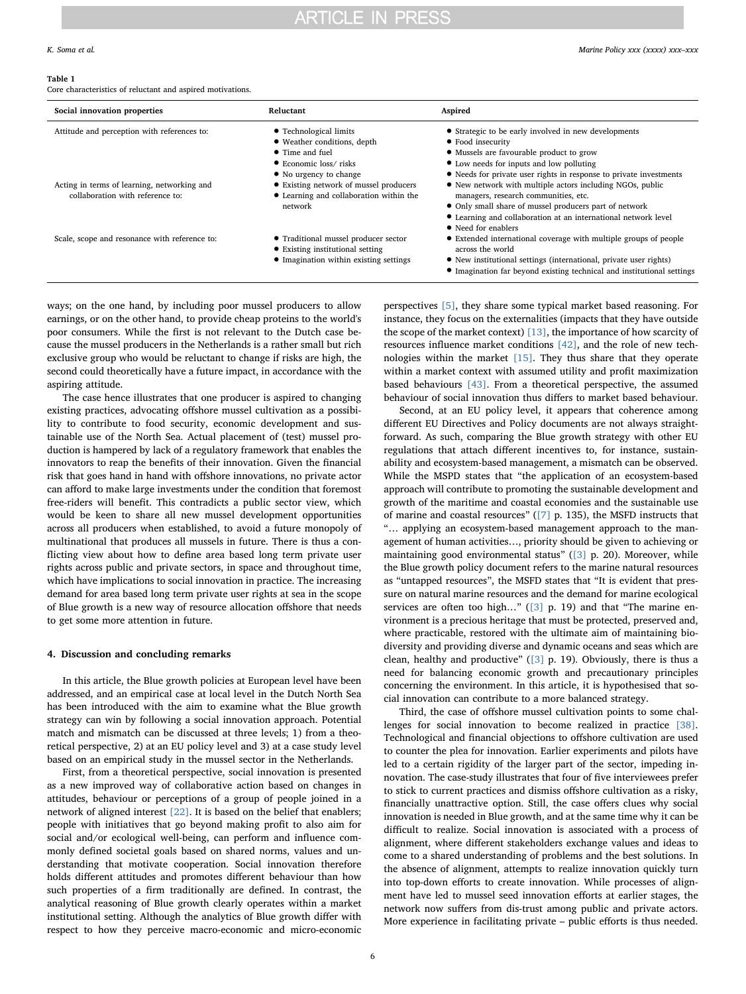#### <span id="page-5-1"></span>Table 1

Core characteristics of reluctant and aspired motivations.

| Social innovation properties                                                    | Reluctant                                                                                                              | Aspired                                                                                                                                                                                                                                                                                                                    |
|---------------------------------------------------------------------------------|------------------------------------------------------------------------------------------------------------------------|----------------------------------------------------------------------------------------------------------------------------------------------------------------------------------------------------------------------------------------------------------------------------------------------------------------------------|
| Attitude and perception with references to:                                     | • Technological limits<br>• Weather conditions, depth<br>• Time and fuel<br>$\bullet$ Economic loss/risks              | • Strategic to be early involved in new developments<br>• Food insecurity<br>• Mussels are favourable product to grow<br>• Low needs for inputs and low polluting                                                                                                                                                          |
| Acting in terms of learning, networking and<br>collaboration with reference to: | • No urgency to change<br>• Existing network of mussel producers<br>• Learning and collaboration within the<br>network | • Needs for private user rights in response to private investments<br>• New network with multiple actors including NGOs, public<br>managers, research communities, etc.<br>• Only small share of mussel producers part of network<br>• Learning and collaboration at an international network level<br>• Need for enablers |
| Scale, scope and resonance with reference to:                                   | • Traditional mussel producer sector<br>• Existing institutional setting<br>• Imagination within existing settings     | • Extended international coverage with multiple groups of people<br>across the world<br>• New institutional settings (international, private user rights)<br>• Imagination far beyond existing technical and institutional settings                                                                                        |

ways; on the one hand, by including poor mussel producers to allow earnings, or on the other hand, to provide cheap proteins to the world's poor consumers. While the first is not relevant to the Dutch case because the mussel producers in the Netherlands is a rather small but rich exclusive group who would be reluctant to change if risks are high, the second could theoretically have a future impact, in accordance with the aspiring attitude.

The case hence illustrates that one producer is aspired to changing existing practices, advocating offshore mussel cultivation as a possibility to contribute to food security, economic development and sustainable use of the North Sea. Actual placement of (test) mussel production is hampered by lack of a regulatory framework that enables the innovators to reap the benefits of their innovation. Given the financial risk that goes hand in hand with offshore innovations, no private actor can afford to make large investments under the condition that foremost free-riders will benefit. This contradicts a public sector view, which would be keen to share all new mussel development opportunities across all producers when established, to avoid a future monopoly of multinational that produces all mussels in future. There is thus a conflicting view about how to define area based long term private user rights across public and private sectors, in space and throughout time, which have implications to social innovation in practice. The increasing demand for area based long term private user rights at sea in the scope of Blue growth is a new way of resource allocation offshore that needs to get some more attention in future.

### <span id="page-5-0"></span>4. Discussion and concluding remarks

In this article, the Blue growth policies at European level have been addressed, and an empirical case at local level in the Dutch North Sea has been introduced with the aim to examine what the Blue growth strategy can win by following a social innovation approach. Potential match and mismatch can be discussed at three levels; 1) from a theoretical perspective, 2) at an EU policy level and 3) at a case study level based on an empirical study in the mussel sector in the Netherlands.

First, from a theoretical perspective, social innovation is presented as a new improved way of collaborative action based on changes in attitudes, behaviour or perceptions of a group of people joined in a network of aligned interest [\[22\]](#page-6-19). It is based on the belief that enablers; people with initiatives that go beyond making profit to also aim for social and/or ecological well-being, can perform and influence commonly defined societal goals based on shared norms, values and understanding that motivate cooperation. Social innovation therefore holds different attitudes and promotes different behaviour than how such properties of a firm traditionally are defined. In contrast, the analytical reasoning of Blue growth clearly operates within a market institutional setting. Although the analytics of Blue growth differ with respect to how they perceive macro-economic and micro-economic

perspectives [\[5\],](#page-6-4) they share some typical market based reasoning. For instance, they focus on the externalities (impacts that they have outside the scope of the market context) [\[13\],](#page-6-11) the importance of how scarcity of resources influence market conditions [\[42\],](#page-7-9) and the role of new technologies within the market [\[15\].](#page-6-13) They thus share that they operate within a market context with assumed utility and profit maximization based behaviours [\[43\].](#page-7-10) From a theoretical perspective, the assumed behaviour of social innovation thus differs to market based behaviour.

Second, at an EU policy level, it appears that coherence among different EU Directives and Policy documents are not always straightforward. As such, comparing the Blue growth strategy with other EU regulations that attach different incentives to, for instance, sustainability and ecosystem-based management, a mismatch can be observed. While the MSPD states that "the application of an ecosystem-based approach will contribute to promoting the sustainable development and growth of the maritime and coastal economies and the sustainable use of marine and coastal resources" ([\[7\]](#page-6-6) p. 135), the MSFD instructs that "… applying an ecosystem-based management approach to the management of human activities…, priority should be given to achieving or maintaining good environmental status" [\(\[3\]](#page-6-2) p. 20). Moreover, while the Blue growth policy document refers to the marine natural resources as "untapped resources", the MSFD states that "It is evident that pressure on natural marine resources and the demand for marine ecological services are often too high..." ([\[3\]](#page-6-2) p. 19) and that "The marine environment is a precious heritage that must be protected, preserved and, where practicable, restored with the ultimate aim of maintaining biodiversity and providing diverse and dynamic oceans and seas which are clean, healthy and productive" ([\[3\]](#page-6-2) p. 19). Obviously, there is thus a need for balancing economic growth and precautionary principles concerning the environment. In this article, it is hypothesised that social innovation can contribute to a more balanced strategy.

Third, the case of offshore mussel cultivation points to some challenges for social innovation to become realized in practice [\[38\]](#page-7-5). Technological and financial objections to offshore cultivation are used to counter the plea for innovation. Earlier experiments and pilots have led to a certain rigidity of the larger part of the sector, impeding innovation. The case-study illustrates that four of five interviewees prefer to stick to current practices and dismiss offshore cultivation as a risky, financially unattractive option. Still, the case offers clues why social innovation is needed in Blue growth, and at the same time why it can be difficult to realize. Social innovation is associated with a process of alignment, where different stakeholders exchange values and ideas to come to a shared understanding of problems and the best solutions. In the absence of alignment, attempts to realize innovation quickly turn into top-down efforts to create innovation. While processes of alignment have led to mussel seed innovation efforts at earlier stages, the network now suffers from dis-trust among public and private actors. More experience in facilitating private – public efforts is thus needed.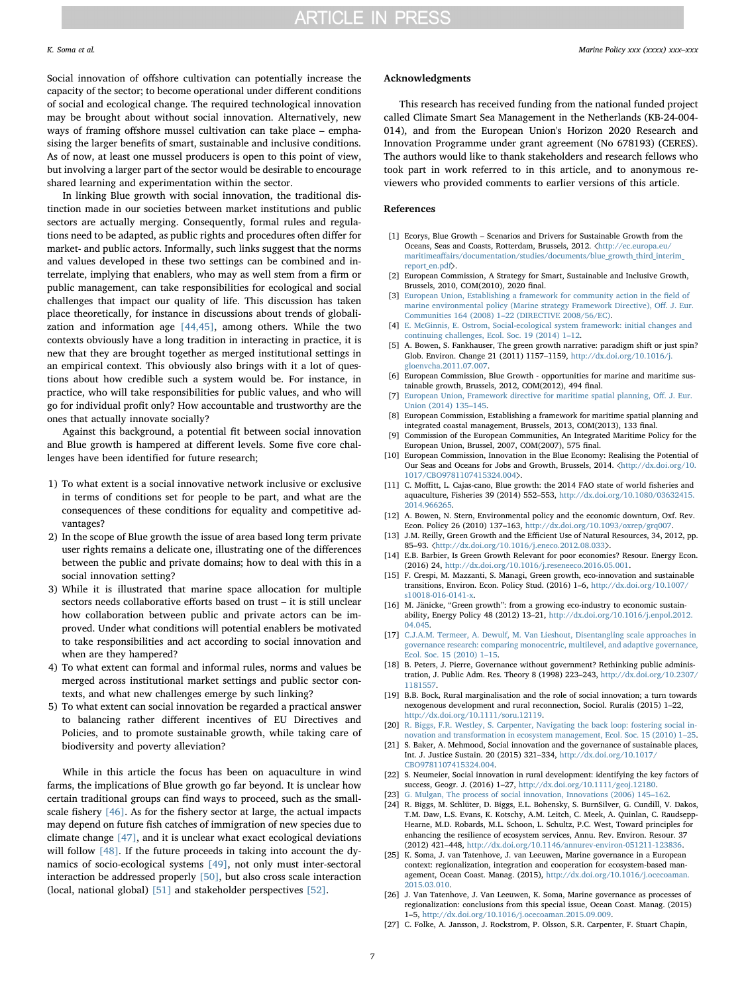K. Soma et al. *Marine Policy xxx (xxxx) xxx–xxx*

Social innovation of offshore cultivation can potentially increase the capacity of the sector; to become operational under different conditions of social and ecological change. The required technological innovation may be brought about without social innovation. Alternatively, new ways of framing offshore mussel cultivation can take place – emphasising the larger benefits of smart, sustainable and inclusive conditions. As of now, at least one mussel producers is open to this point of view, but involving a larger part of the sector would be desirable to encourage shared learning and experimentation within the sector.

In linking Blue growth with social innovation, the traditional distinction made in our societies between market institutions and public sectors are actually merging. Consequently, formal rules and regulations need to be adapted, as public rights and procedures often differ for market- and public actors. Informally, such links suggest that the norms and values developed in these two settings can be combined and interrelate, implying that enablers, who may as well stem from a firm or public management, can take responsibilities for ecological and social challenges that impact our quality of life. This discussion has taken place theoretically, for instance in discussions about trends of globalization and information age  $[44,45]$ , among others. While the two contexts obviously have a long tradition in interacting in practice, it is new that they are brought together as merged institutional settings in an empirical context. This obviously also brings with it a lot of questions about how credible such a system would be. For instance, in practice, who will take responsibilities for public values, and who will go for individual profit only? How accountable and trustworthy are the ones that actually innovate socially?

Against this background, a potential fit between social innovation and Blue growth is hampered at different levels. Some five core challenges have been identified for future research;

- 1) To what extent is a social innovative network inclusive or exclusive in terms of conditions set for people to be part, and what are the consequences of these conditions for equality and competitive advantages?
- 2) In the scope of Blue growth the issue of area based long term private user rights remains a delicate one, illustrating one of the differences between the public and private domains; how to deal with this in a social innovation setting?
- 3) While it is illustrated that marine space allocation for multiple sectors needs collaborative efforts based on trust – it is still unclear how collaboration between public and private actors can be improved. Under what conditions will potential enablers be motivated to take responsibilities and act according to social innovation and when are they hampered?
- 4) To what extent can formal and informal rules, norms and values be merged across institutional market settings and public sector contexts, and what new challenges emerge by such linking?
- 5) To what extent can social innovation be regarded a practical answer to balancing rather different incentives of EU Directives and Policies, and to promote sustainable growth, while taking care of biodiversity and poverty alleviation?

While in this article the focus has been on aquaculture in wind farms, the implications of Blue growth go far beyond. It is unclear how certain traditional groups can find ways to proceed, such as the smallscale fishery [\[46\].](#page-7-12) As for the fishery sector at large, the actual impacts may depend on future fish catches of immigration of new species due to climate change [\[47\]](#page-7-13), and it is unclear what exact ecological deviations will follow [\[48\].](#page-7-14) If the future proceeds in taking into account the dynamics of socio-ecological systems [\[49\],](#page-7-15) not only must inter-sectoral interaction be addressed properly [\[50\]](#page-7-16), but also cross scale interaction (local, national global) [\[51\]](#page-7-17) and stakeholder perspectives [\[52\].](#page-7-18)

#### Acknowledgments

This research has received funding from the national funded project called Climate Smart Sea Management in the Netherlands (KB-24-004- 014), and from the European Union's Horizon 2020 Research and Innovation Programme under grant agreement (No 678193) (CERES). The authors would like to thank stakeholders and research fellows who took part in work referred to in this article, and to anonymous reviewers who provided comments to earlier versions of this article.

### References

- <span id="page-6-0"></span>[1] Ecorys, Blue Growth – Scenarios and Drivers for Sustainable Growth from the Oceans, Seas and Coasts, Rotterdam, Brussels, 2012. 〈[http://ec.europa.eu/](http://ec.europa.eu/maritimeaffairs/documentation/studies/documents/blue_growth_third_interim_report_en.pdf) maritimeaff[airs/documentation/studies/documents/blue\\_growth\\_third\\_interim\\_](http://ec.europa.eu/maritimeaffairs/documentation/studies/documents/blue_growth_third_interim_report_en.pdf) [report\\_en.pdf](http://ec.europa.eu/maritimeaffairs/documentation/studies/documents/blue_growth_third_interim_report_en.pdf)〉.
- <span id="page-6-1"></span>[2] European Commission, A Strategy for Smart, Sustainable and Inclusive Growth. Brussels, 2010, COM(2010), 2020 final.
- <span id="page-6-2"></span>[3] [European Union, Establishing a framework for community action in the](http://refhub.elsevier.com/S0308-597X(17)30587-0/sbref1) field of [marine environmental policy \(Marine strategy Framework Directive\), O](http://refhub.elsevier.com/S0308-597X(17)30587-0/sbref1)ff. J. Eur. Communities 164 (2008) 1–[22 \(DIRECTIVE 2008/56/EC\).](http://refhub.elsevier.com/S0308-597X(17)30587-0/sbref1)
- <span id="page-6-3"></span>[4] [E. McGinnis, E. Ostrom, Social-ecological system framework: initial changes and](http://refhub.elsevier.com/S0308-597X(17)30587-0/sbref2) [continuing challenges, Ecol. Soc. 19 \(2014\) 1](http://refhub.elsevier.com/S0308-597X(17)30587-0/sbref2)–12.
- <span id="page-6-4"></span>[5] A. Bowen, S. Fankhauser, The green growth narrative: paradigm shift or just spin? Glob. Environ. Change 21 (2011) 1157–1159, [http://dx.doi.org/10.1016/j.](http://dx.doi.org/10.1016/j.gloenvcha.2011.07.007) [gloenvcha.2011.07.007.](http://dx.doi.org/10.1016/j.gloenvcha.2011.07.007)
- <span id="page-6-5"></span>[6] European Commission, Blue Growth - opportunities for marine and maritime sustainable growth, Brussels, 2012, COM(2012), 494 final.
- <span id="page-6-6"></span>[7] [European Union, Framework directive for maritime spatial planning, O](http://refhub.elsevier.com/S0308-597X(17)30587-0/sbref4)ff. J. Eur. [Union \(2014\) 135](http://refhub.elsevier.com/S0308-597X(17)30587-0/sbref4)–145.
- [8] European Commission, Establishing a framework for maritime spatial planning and integrated coastal management, Brussels, 2013, COM(2013), 133 final.
- <span id="page-6-7"></span>[9] Commission of the European Communities, An Integrated Maritime Policy for the European Union, Brussel, 2007, COM(2007), 575 final.
- <span id="page-6-8"></span>[10] European Commission, Innovation in the Blue Economy: Realising the Potential of Our Seas and Oceans for Jobs and Growth, Brussels, 2014. 〈[http://dx.doi.org/10.](http://dx.doi.org//10.1017/CBO9781107415324.004) [1017/CBO9781107415324.004](http://dx.doi.org//10.1017/CBO9781107415324.004)〉.
- <span id="page-6-9"></span>[11] C. Moffitt, L. Cajas-cano, Blue growth: the 2014 FAO state of world fisheries and aquaculture, Fisheries 39 (2014) 552–553, [http://dx.doi.org/10.1080/03632415.](http://dx.doi.org/10.1080/03632415.2014.966265) [2014.966265.](http://dx.doi.org/10.1080/03632415.2014.966265)
- <span id="page-6-10"></span>[12] A. Bowen, N. Stern, Environmental policy and the economic downturn, Oxf. Rev. Econ. Policy 26 (2010) 137–163, [http://dx.doi.org/10.1093/oxrep/grq007.](http://dx.doi.org/10.1093/oxrep/grq007)
- <span id="page-6-11"></span>[13] J.M. Reilly, Green Growth and the Efficient Use of Natural Resources, 34, 2012, pp. 85–93. 〈[http://dx.doi.org/10.1016/j.eneco.2012.08.033](http://dx.doi.org//10.1016/j.eneco.2012.08.033)〉.
- <span id="page-6-12"></span>[14] E.B. Barbier, Is Green Growth Relevant for poor economies? Resour. Energy Econ. (2016) 24, [http://dx.doi.org/10.1016/j.reseneeco.2016.05.001.](http://dx.doi.org/10.1016/j.reseneeco.2016.05.001)
- <span id="page-6-13"></span>[15] F. Crespi, M. Mazzanti, S. Managi, Green growth, eco-innovation and sustainable transitions, Environ. Econ. Policy Stud. (2016) 1–6, [http://dx.doi.org/10.1007/](http://dx.doi.org/10.1007/s10018-016-0141-x) [s10018-016-0141-x.](http://dx.doi.org/10.1007/s10018-016-0141-x)
- <span id="page-6-14"></span>[16] M. Jänicke, "Green growth": from a growing eco-industry to economic sustainability, Energy Policy 48 (2012) 13–21, [http://dx.doi.org/10.1016/j.enpol.2012.](http://dx.doi.org/10.1016/j.enpol.2012.04.045) [04.045.](http://dx.doi.org/10.1016/j.enpol.2012.04.045)
- <span id="page-6-15"></span>[17] [C.J.A.M. Termeer, A. Dewulf, M. Van Lieshout, Disentangling scale approaches in](http://refhub.elsevier.com/S0308-597X(17)30587-0/sbref10) [governance research: comparing monocentric, multilevel, and adaptive governance,](http://refhub.elsevier.com/S0308-597X(17)30587-0/sbref10) [Ecol. Soc. 15 \(2010\) 1](http://refhub.elsevier.com/S0308-597X(17)30587-0/sbref10)–15.
- <span id="page-6-16"></span>[18] B. Peters, J. Pierre, Governance without government? Rethinking public administration, J. Public Adm. Res. Theory 8 (1998) 223–243, [http://dx.doi.org/10.2307/](http://dx.doi.org/10.2307/1181557) [1181557.](http://dx.doi.org/10.2307/1181557)
- <span id="page-6-17"></span>[19] B.B. Bock, Rural marginalisation and the role of social innovation; a turn towards nexogenous development and rural reconnection, Sociol. Ruralis (2015) 1–22, [http://dx.doi.org/10.1111/soru.12119.](http://dx.doi.org/10.1111/soru.12119)
- <span id="page-6-18"></span>[20] [R. Biggs, F.R. Westley, S. Carpenter, Navigating the back loop: fostering social in](http://refhub.elsevier.com/S0308-597X(17)30587-0/sbref13)[novation and transformation in ecosystem management, Ecol. Soc. 15 \(2010\) 1](http://refhub.elsevier.com/S0308-597X(17)30587-0/sbref13)–25.
- <span id="page-6-20"></span>[21] S. Baker, A. Mehmood, Social innovation and the governance of sustainable places, Int. J. Justice Sustain. 20 (2015) 321–334, [http://dx.doi.org/10.1017/](http://dx.doi.org/10.1017/CBO9781107415324.004) [CBO9781107415324.004.](http://dx.doi.org/10.1017/CBO9781107415324.004)
- <span id="page-6-19"></span>[22] S. Neumeier, Social innovation in rural development: identifying the key factors of success, Geogr. J. (2016) 1–27, [http://dx.doi.org/10.1111/geoj.12180.](http://dx.doi.org/10.1111/geoj.12180)
- <span id="page-6-21"></span>[23] [G. Mulgan, The process of social innovation, Innovations \(2006\) 145](http://refhub.elsevier.com/S0308-597X(17)30587-0/sbref16)–162.
- <span id="page-6-22"></span>[24] R. Biggs, M. Schlüter, D. Biggs, E.L. Bohensky, S. BurnSilver, G. Cundill, V. Dakos, T.M. Daw, L.S. Evans, K. Kotschy, A.M. Leitch, C. Meek, A. Quinlan, C. Raudsepp-Hearne, M.D. Robards, M.L. Schoon, L. Schultz, P.C. West, Toward principles for enhancing the resilience of ecosystem services, Annu. Rev. Environ. Resour. 37 (2012) 421–448, [http://dx.doi.org/10.1146/annurev-environ-051211-123836.](http://dx.doi.org/10.1146/annurev-environ-051211-123836)
- <span id="page-6-23"></span>[25] K. Soma, J. van Tatenhove, J. van Leeuwen, Marine governance in a European context: regionalization, integration and cooperation for ecosystem-based management, Ocean Coast. Manag. (2015), [http://dx.doi.org/10.1016/j.ocecoaman.](http://dx.doi.org/10.1016/j.ocecoaman.2015.03.010) [2015.03.010.](http://dx.doi.org/10.1016/j.ocecoaman.2015.03.010)
- [26] J. Van Tatenhove, J. Van Leeuwen, K. Soma, Marine governance as processes of regionalization: conclusions from this special issue, Ocean Coast. Manag. (2015) 1–5, [http://dx.doi.org/10.1016/j.ocecoaman.2015.09.009.](http://dx.doi.org/10.1016/j.ocecoaman.2015.09.009)
- [27] C. Folke, A. Jansson, J. Rockstrom, P. Olsson, S.R. Carpenter, F. Stuart Chapin,